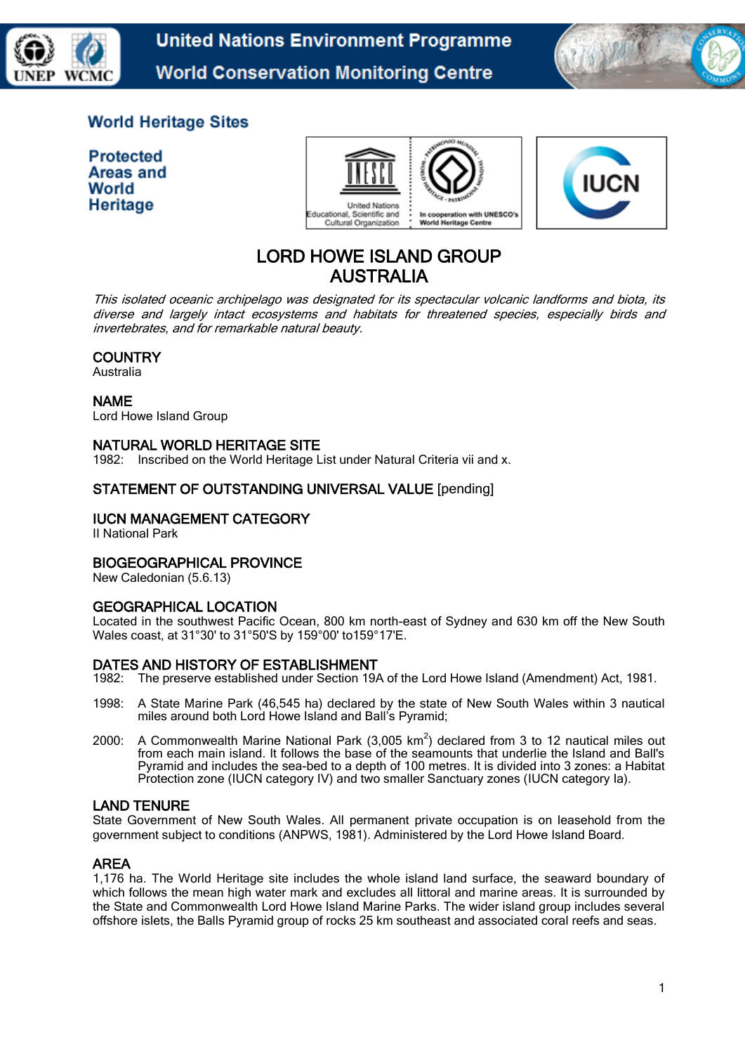

**United Nations Environment Programme World Conservation Monitoring Centre** 



## **World Heritage Sites**

**Protected** Areas and World **Heritage** 





# LORD HOWE ISLAND GROUP AUSTRALIA

This isolated oceanic archipelago was designated for its spectacular volcanic landforms and biota, its diverse and largely intact ecosystems and habitats for threatened species, especially birds and invertebrates, and for remarkable natural beauty.

## **COUNTRY**

Australia

#### NAME

Lord Howe Island Group

## NATURAL WORLD HERITAGE SITE

1982: Inscribed on the World Heritage List under Natural Criteria vii and x.

## STATEMENT OF OUTSTANDING UNIVERSAL VALUE [pending]

## IUCN MANAGEMENT CATEGORY

II National Park

#### BIOGEOGRAPHICAL PROVINCE

New Caledonian (5.6.13)

#### GEOGRAPHICAL LOCATION

Located in the southwest Pacific Ocean, 800 km north-east of Sydney and 630 km off the New South Wales coast, at 31°30' to 31°50'S by 159°00' to159°17'E.

#### DATES AND HISTORY OF ESTABLISHMENT

1982: The preserve established under Section 19A of the Lord Howe Island (Amendment) Act, 1981.

- 1998: A State Marine Park (46,545 ha) declared by the state of New South Wales within 3 nautical miles around both Lord Howe Island and Ball's Pyramid;
- 2000: A Commonwealth Marine National Park (3,005 km<sup>2</sup>) declared from 3 to 12 nautical miles out from each main island. It follows the base of the seamounts that underlie the Island and Ball's Pyramid and includes the sea-bed to a depth of 100 metres. It is divided into 3 zones: a Habitat Protection zone (IUCN category IV) and two smaller Sanctuary zones (IUCN category Ia).

#### LAND TENURE

State Government of New South Wales. All permanent private occupation is on leasehold from the government subject to conditions (ANPWS, 1981). Administered by the Lord Howe Island Board.

#### AREA

1,176 ha. The World Heritage site includes the whole island land surface, the seaward boundary of which follows the mean high water mark and excludes all littoral and marine areas. It is surrounded by the State and Commonwealth Lord Howe Island Marine Parks. The wider island group includes several offshore islets, the Balls Pyramid group of rocks 25 km southeast and associated coral reefs and seas.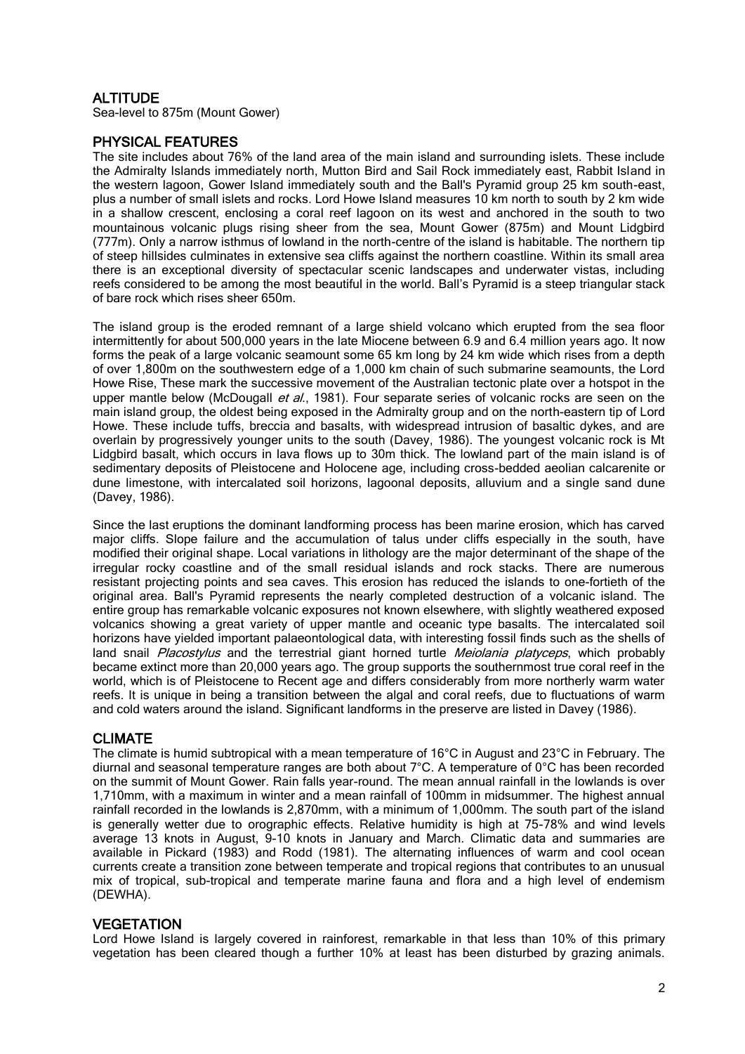## **ALTITUDE**

Sea-level to 875m (Mount Gower)

## PHYSICAL FEATURES

The site includes about 76% of the land area of the main island and surrounding islets. These include the Admiralty Islands immediately north, Mutton Bird and Sail Rock immediately east, Rabbit Island in the western lagoon, Gower Island immediately south and the Ball's Pyramid group 25 km south-east, plus a number of small islets and rocks. Lord Howe Island measures 10 km north to south by 2 km wide in a shallow crescent, enclosing a coral reef lagoon on its west and anchored in the south to two mountainous volcanic plugs rising sheer from the sea, Mount Gower (875m) and Mount Lidgbird (777m). Only a narrow isthmus of lowland in the north-centre of the island is habitable. The northern tip of steep hillsides culminates in extensive sea cliffs against the northern coastline. Within its small area there is an exceptional diversity of spectacular scenic landscapes and underwater vistas, including reefs considered to be among the most beautiful in the world. Ball's Pyramid is a steep triangular stack of bare rock which rises sheer 650m.

The island group is the eroded remnant of a large shield volcano which erupted from the sea floor intermittently for about 500,000 years in the late Miocene between 6.9 and 6.4 million years ago. It now forms the peak of a large volcanic seamount some 65 km long by 24 km wide which rises from a depth of over 1,800m on the southwestern edge of a 1,000 km chain of such submarine seamounts, the Lord Howe Rise, These mark the successive movement of the Australian tectonic plate over a hotspot in the upper mantle below (McDougall *et al.*, 1981). Four separate series of volcanic rocks are seen on the main island group, the oldest being exposed in the Admiralty group and on the north-eastern tip of Lord Howe. These include tuffs, breccia and basalts, with widespread intrusion of basaltic dykes, and are overlain by progressively younger units to the south (Davey, 1986). The youngest volcanic rock is Mt Lidgbird basalt, which occurs in lava flows up to 30m thick. The lowland part of the main island is of sedimentary deposits of Pleistocene and Holocene age, including cross-bedded aeolian calcarenite or dune limestone, with intercalated soil horizons, lagoonal deposits, alluvium and a single sand dune (Davey, 1986).

Since the last eruptions the dominant landforming process has been marine erosion, which has carved major cliffs. Slope failure and the accumulation of talus under cliffs especially in the south, have modified their original shape. Local variations in lithology are the major determinant of the shape of the irregular rocky coastline and of the small residual islands and rock stacks. There are numerous resistant projecting points and sea caves. This erosion has reduced the islands to one-fortieth of the original area. Ball's Pyramid represents the nearly completed destruction of a volcanic island. The entire group has remarkable volcanic exposures not known elsewhere, with slightly weathered exposed volcanics showing a great variety of upper mantle and oceanic type basalts. The intercalated soil horizons have yielded important palaeontological data, with interesting fossil finds such as the shells of land snail Placostylus and the terrestrial giant horned turtle Meiolania platyceps, which probably became extinct more than 20,000 years ago. The group supports the southernmost true coral reef in the world, which is of Pleistocene to Recent age and differs considerably from more northerly warm water reefs. It is unique in being a transition between the algal and coral reefs, due to fluctuations of warm and cold waters around the island. Significant landforms in the preserve are listed in Davey (1986).

## CLIMATE

The climate is humid subtropical with a mean temperature of 16°C in August and 23°C in February. The diurnal and seasonal temperature ranges are both about 7°C. A temperature of 0°C has been recorded on the summit of Mount Gower. Rain falls year-round. The mean annual rainfall in the lowlands is over 1,710mm, with a maximum in winter and a mean rainfall of 100mm in midsummer. The highest annual rainfall recorded in the lowlands is 2,870mm, with a minimum of 1,000mm. The south part of the island is generally wetter due to orographic effects. Relative humidity is high at 75-78% and wind levels average 13 knots in August, 9-10 knots in January and March. Climatic data and summaries are available in Pickard (1983) and Rodd (1981). The alternating influences of warm and cool ocean currents create a transition zone between temperate and tropical regions that contributes to an unusual mix of tropical, sub-tropical and temperate marine fauna and flora and a high level of endemism (DEWHA).

#### **VEGETATION**

Lord Howe Island is largely covered in rainforest, remarkable in that less than 10% of this primary vegetation has been cleared though a further 10% at least has been disturbed by grazing animals.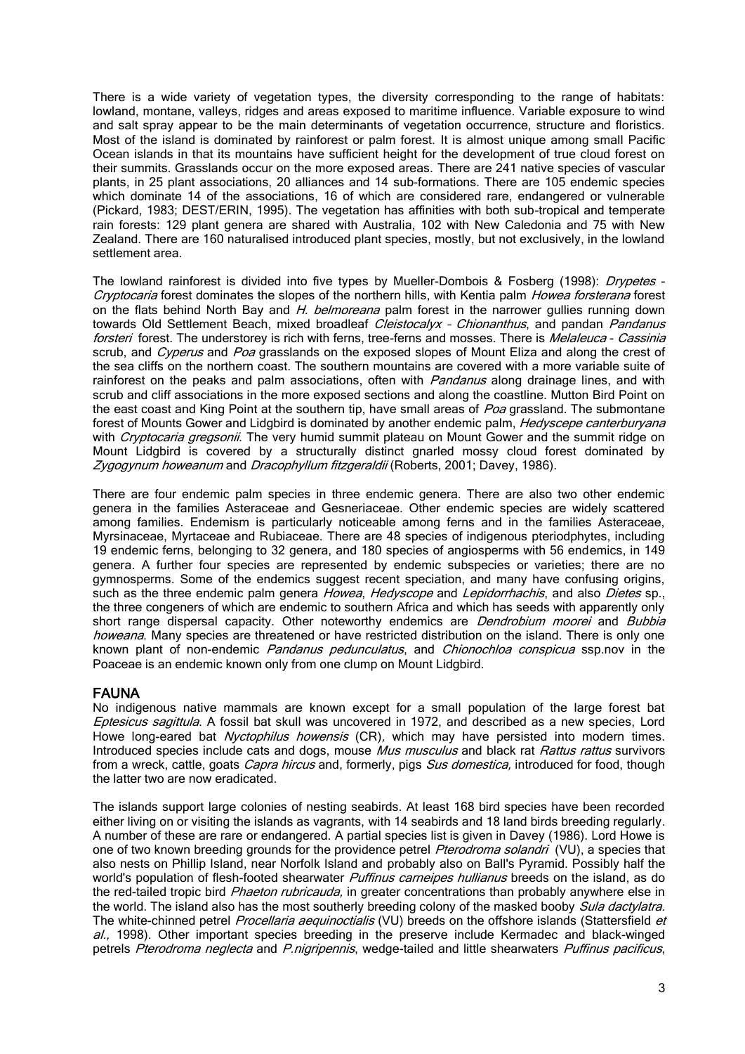There is a wide variety of vegetation types, the diversity corresponding to the range of habitats: lowland, montane, valleys, ridges and areas exposed to maritime influence. Variable exposure to wind and salt spray appear to be the main determinants of vegetation occurrence, structure and floristics. Most of the island is dominated by rainforest or palm forest. It is almost unique among small Pacific Ocean islands in that its mountains have sufficient height for the development of true cloud forest on their summits. Grasslands occur on the more exposed areas. There are 241 native species of vascular plants, in 25 plant associations, 20 alliances and 14 sub-formations. There are 105 endemic species which dominate 14 of the associations, 16 of which are considered rare, endangered or vulnerable (Pickard, 1983; DEST/ERIN, 1995). The vegetation has affinities with both sub-tropical and temperate rain forests: 129 plant genera are shared with Australia, 102 with New Caledonia and 75 with New Zealand. There are 160 naturalised introduced plant species, mostly, but not exclusively, in the lowland settlement area.

The lowland rainforest is divided into five types by Mueller-Dombois & Fosberg (1998): Drypetes -Cryptocaria forest dominates the slopes of the northern hills, with Kentia palm Howea forsterana forest on the flats behind North Bay and  $H$ . belmoreana palm forest in the narrower gullies running down towards Old Settlement Beach, mixed broadleaf Cleistocalyx - Chionanthus, and pandan Pandanus forsteri forest. The understorey is rich with ferns, tree-ferns and mosses. There is Melaleuca - Cassinia scrub, and Cyperus and Poa grasslands on the exposed slopes of Mount Eliza and along the crest of the sea cliffs on the northern coast. The southern mountains are covered with a more variable suite of rainforest on the peaks and palm associations, often with *Pandanus* along drainage lines, and with scrub and cliff associations in the more exposed sections and along the coastline. Mutton Bird Point on the east coast and King Point at the southern tip, have small areas of Poa grassland. The submontane forest of Mounts Gower and Lidgbird is dominated by another endemic palm, Hedyscepe canterburyana with Cryptocaria gregsonii. The very humid summit plateau on Mount Gower and the summit ridge on Mount Lidgbird is covered by a structurally distinct gnarled mossy cloud forest dominated by Zygogynum howeanum and Dracophyllum fitzgeraldii (Roberts, 2001; Davey, 1986).

There are four endemic palm species in three endemic genera. There are also two other endemic genera in the families Asteraceae and Gesneriaceae. Other endemic species are widely scattered among families. Endemism is particularly noticeable among ferns and in the families Asteraceae, Myrsinaceae, Myrtaceae and Rubiaceae. There are 48 species of indigenous pteriodphytes, including 19 endemic ferns, belonging to 32 genera, and 180 species of angiosperms with 56 endemics, in 149 genera. A further four species are represented by endemic subspecies or varieties; there are no gymnosperms. Some of the endemics suggest recent speciation, and many have confusing origins, such as the three endemic palm genera *Howea, Hedyscope* and *Lepidorrhachis*, and also *Dietes* sp., the three congeners of which are endemic to southern Africa and which has seeds with apparently only short range dispersal capacity. Other noteworthy endemics are *Dendrobium moorei* and Bubbia howeana. Many species are threatened or have restricted distribution on the island. There is only one known plant of non-endemic *Pandanus pedunculatus*, and *Chionochloa conspicua* ssp.nov in the Poaceae is an endemic known only from one clump on Mount Lidgbird.

## FAUNA

No indigenous native mammals are known except for a small population of the large forest bat Eptesicus sagittula. A fossil bat skull was uncovered in 1972, and described as a new species, Lord Howe long-eared bat *Nyctophilus howensis* (CR), which may have persisted into modern times. Introduced species include cats and dogs, mouse Mus musculus and black rat Rattus rattus survivors from a wreck, cattle, goats *Capra hircus* and, formerly, pigs Sus domestica, introduced for food. though the latter two are now eradicated.

The islands support large colonies of nesting seabirds. At least 168 bird species have been recorded either living on or visiting the islands as vagrants, with 14 seabirds and 18 land birds breeding regularly. A number of these are rare or endangered. A partial species list is given in Davey (1986). Lord Howe is one of two known breeding grounds for the providence petrel *Pterodroma solandri* (VU), a species that also nests on Phillip Island, near Norfolk Island and probably also on Ball's Pyramid. Possibly half the world's population of flesh-footed shearwater *Puffinus carneipes hullianus* breeds on the island, as do the red-tailed tropic bird *Phaeton rubricauda*, in greater concentrations than probably anywhere else in the world. The island also has the most southerly breeding colony of the masked booby Sula dactylatra. The white-chinned petrel Procellaria aequinoctialis (VU) breeds on the offshore islands (Stattersfield et  $al.$ , 1998). Other important species breeding in the preserve include Kermadec and black-winged petrels Pterodroma neglecta and P.nigripennis, wedge-tailed and little shearwaters Puffinus pacificus,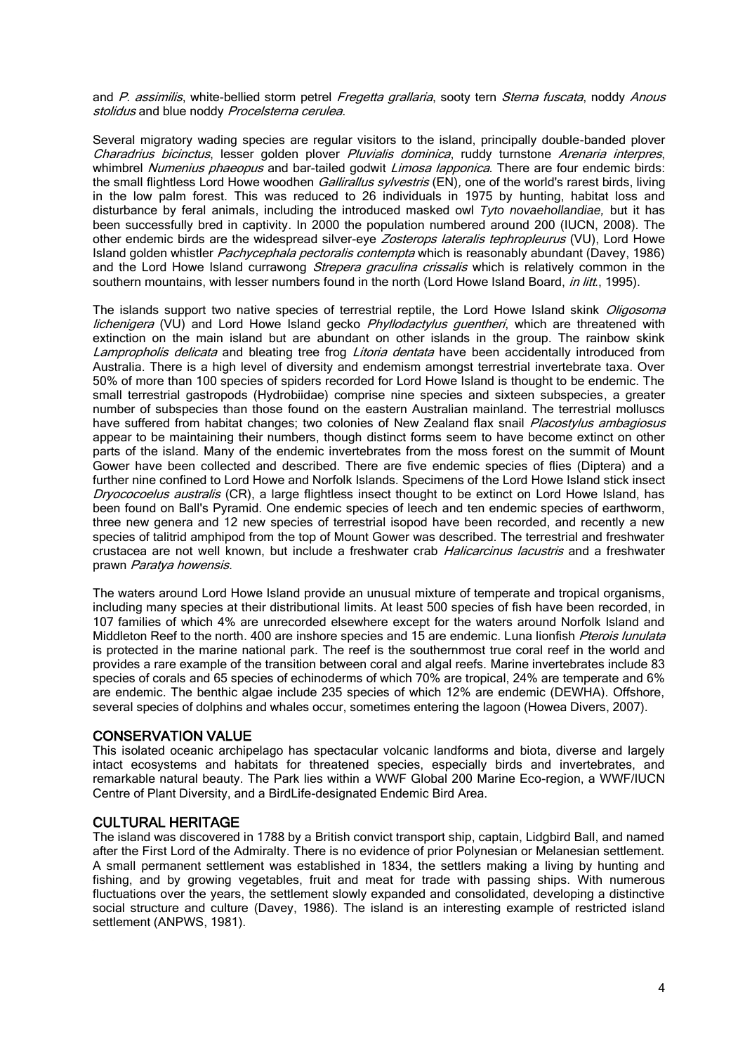and P. assimilis, white-bellied storm petrel Fregetta grallaria, sooty tern Sterna fuscata, noddy Anous stolidus and blue noddy Procelsterna cerulea.

Several migratory wading species are regular visitors to the island, principally double-banded plover Charadrius bicinctus, lesser golden plover Pluvialis dominica, ruddy turnstone Arenaria interpres, whimbrel Numenius phaeopus and bar-tailed godwit Limosa lapponica. There are four endemic birds: the small flightless Lord Howe woodhen *Gallirallus sylvestris* (EN), one of the world's rarest birds, living in the low palm forest. This was reduced to 26 individuals in 1975 by hunting, habitat loss and disturbance by feral animals, including the introduced masked owl *Tyto novaehollandiae,* but it has been successfully bred in captivity. In 2000 the population numbered around 200 (IUCN, 2008). The other endemic birds are the widespread silver-eye Zosterops lateralis tephropleurus (VU), Lord Howe Island golden whistler Pachycephala pectoralis contempta which is reasonably abundant (Davey, 1986) and the Lord Howe Island currawong *Strepera graculina crissalis* which is relatively common in the southern mountains, with lesser numbers found in the north (Lord Howe Island Board, in litt., 1995).

The islands support two native species of terrestrial reptile, the Lord Howe Island skink Oligosoma lichenigera (VU) and Lord Howe Island gecko *Phyllodactylus guentheri*, which are threatened with extinction on the main island but are abundant on other islands in the group. The rainbow skink Lampropholis delicata and bleating tree frog Litoria dentata have been accidentally introduced from Australia. There is a high level of diversity and endemism amongst terrestrial invertebrate taxa. Over 50% of more than 100 species of spiders recorded for Lord Howe Island is thought to be endemic. The small terrestrial gastropods (Hydrobiidae) comprise nine species and sixteen subspecies, a greater number of subspecies than those found on the eastern Australian mainland. The terrestrial molluscs have suffered from habitat changes; two colonies of New Zealand flax snail Placostylus ambagiosus appear to be maintaining their numbers, though distinct forms seem to have become extinct on other parts of the island. Many of the endemic invertebrates from the moss forest on the summit of Mount Gower have been collected and described. There are five endemic species of flies (Diptera) and a further nine confined to Lord Howe and Norfolk Islands. Specimens of the Lord Howe Island stick insect Dryococoelus australis (CR), a large flightless insect thought to be extinct on Lord Howe Island, has been found on Ball's Pyramid. One endemic species of leech and ten endemic species of earthworm, three new genera and 12 new species of terrestrial isopod have been recorded, and recently a new species of talitrid amphipod from the top of Mount Gower was described. The terrestrial and freshwater crustacea are not well known, but include a freshwater crab *Halicarcinus lacustris* and a freshwater prawn Paratya howensis.

The waters around Lord Howe Island provide an unusual mixture of temperate and tropical organisms, including many species at their distributional limits. At least 500 species of fish have been recorded, in 107 families of which 4% are unrecorded elsewhere except for the waters around Norfolk Island and Middleton Reef to the north. 400 are inshore species and 15 are endemic. Luna lionfish *Pterois lunulata* is protected in the marine national park. The reef is the southernmost true coral reef in the world and provides a rare example of the transition between coral and algal reefs. Marine invertebrates include 83 species of corals and 65 species of echinoderms of which 70% are tropical, 24% are temperate and 6% are endemic. The benthic algae include 235 species of which 12% are endemic (DEWHA). Offshore, several species of dolphins and whales occur, sometimes entering the lagoon (Howea Divers, 2007).

#### CONSERVATION VALUE

This isolated oceanic archipelago has spectacular volcanic landforms and biota, diverse and largely intact ecosystems and habitats for threatened species, especially birds and invertebrates, and remarkable natural beauty. The Park lies within a WWF Global 200 Marine Eco-region, a WWF/IUCN Centre of Plant Diversity, and a BirdLife-designated Endemic Bird Area.

#### CULTURAL HERITAGE

The island was discovered in 1788 by a British convict transport ship, captain, Lidgbird Ball, and named after the First Lord of the Admiralty. There is no evidence of prior Polynesian or Melanesian settlement. A small permanent settlement was established in 1834, the settlers making a living by hunting and fishing, and by growing vegetables, fruit and meat for trade with passing ships. With numerous fluctuations over the years, the settlement slowly expanded and consolidated, developing a distinctive social structure and culture (Davey, 1986). The island is an interesting example of restricted island settlement (ANPWS, 1981).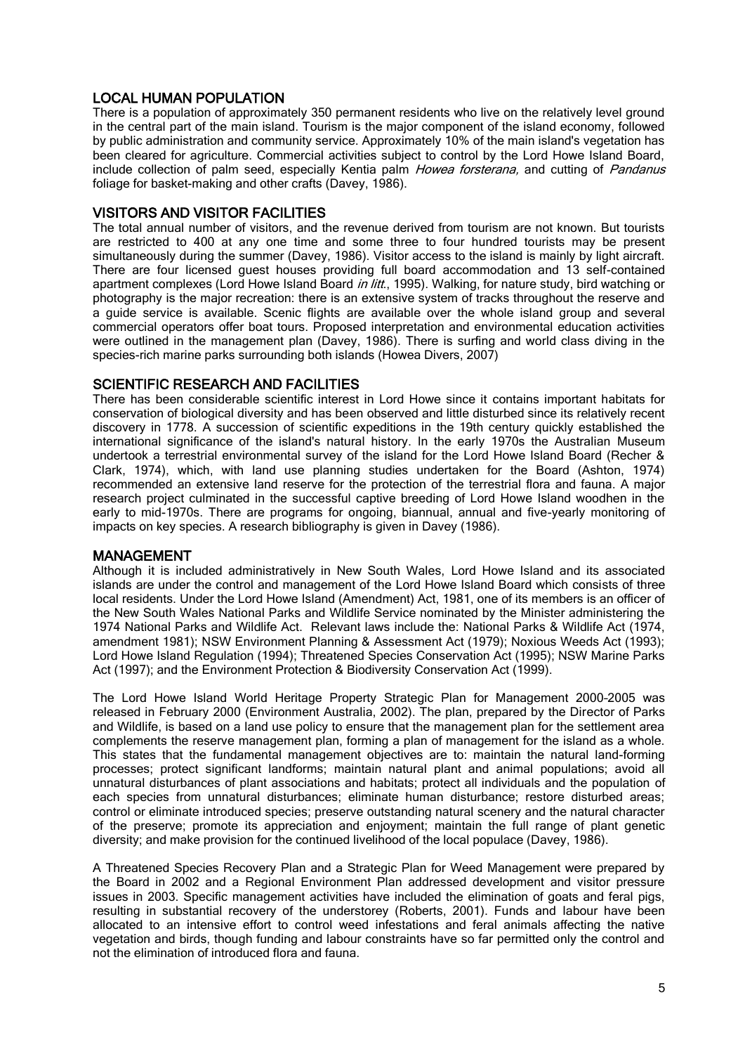## LOCAL HUMAN POPULATION

There is a population of approximately 350 permanent residents who live on the relatively level ground in the central part of the main island. Tourism is the major component of the island economy, followed by public administration and community service. Approximately 10% of the main island's vegetation has been cleared for agriculture. Commercial activities subject to control by the Lord Howe Island Board, include collection of palm seed, especially Kentia palm Howea forsterana, and cutting of Pandanus foliage for basket-making and other crafts (Davey, 1986).

## VISITORS AND VISITOR FACILITIES

The total annual number of visitors, and the revenue derived from tourism are not known. But tourists are restricted to 400 at any one time and some three to four hundred tourists may be present simultaneously during the summer (Davey, 1986). Visitor access to the island is mainly by light aircraft. There are four licensed guest houses providing full board accommodation and 13 self-contained apartment complexes (Lord Howe Island Board *in litt.*, 1995). Walking, for nature study, bird watching or photography is the major recreation: there is an extensive system of tracks throughout the reserve and a guide service is available. Scenic flights are available over the whole island group and several commercial operators offer boat tours. Proposed interpretation and environmental education activities were outlined in the management plan (Davey, 1986). There is surfing and world class diving in the species-rich marine parks surrounding both islands (Howea Divers, 2007)

## SCIENTIFIC RESEARCH AND FACILITIES

There has been considerable scientific interest in Lord Howe since it contains important habitats for conservation of biological diversity and has been observed and little disturbed since its relatively recent discovery in 1778. A succession of scientific expeditions in the 19th century quickly established the international significance of the island's natural history. In the early 1970s the Australian Museum undertook a terrestrial environmental survey of the island for the Lord Howe Island Board (Recher & Clark, 1974), which, with land use planning studies undertaken for the Board (Ashton, 1974) recommended an extensive land reserve for the protection of the terrestrial flora and fauna. A major research project culminated in the successful captive breeding of Lord Howe Island woodhen in the early to mid-1970s. There are programs for ongoing, biannual, annual and five-yearly monitoring of impacts on key species. A research bibliography is given in Davey (1986).

#### MANAGEMENT

Although it is included administratively in New South Wales, Lord Howe Island and its associated islands are under the control and management of the Lord Howe Island Board which consists of three local residents. Under the Lord Howe Island (Amendment) Act, 1981, one of its members is an officer of the New South Wales National Parks and Wildlife Service nominated by the Minister administering the 1974 National Parks and Wildlife Act. Relevant laws include the: National Parks & Wildlife Act (1974, amendment 1981); NSW Environment Planning & Assessment Act (1979); Noxious Weeds Act (1993); Lord Howe Island Regulation (1994); Threatened Species Conservation Act (1995); NSW Marine Parks Act (1997); and the Environment Protection & Biodiversity Conservation Act (1999).

The Lord Howe Island World Heritage Property Strategic Plan for Management 2000–2005 was released in February 2000 (Environment Australia, 2002). The plan, prepared by the Director of Parks and Wildlife, is based on a land use policy to ensure that the management plan for the settlement area complements the reserve management plan, forming a plan of management for the island as a whole. This states that the fundamental management objectives are to: maintain the natural land-forming processes; protect significant landforms; maintain natural plant and animal populations; avoid all unnatural disturbances of plant associations and habitats; protect all individuals and the population of each species from unnatural disturbances; eliminate human disturbance; restore disturbed areas; control or eliminate introduced species; preserve outstanding natural scenery and the natural character of the preserve; promote its appreciation and enjoyment; maintain the full range of plant genetic diversity; and make provision for the continued livelihood of the local populace (Davey, 1986).

A Threatened Species Recovery Plan and a Strategic Plan for Weed Management were prepared by the Board in 2002 and a Regional Environment Plan addressed development and visitor pressure issues in 2003. Specific management activities have included the elimination of goats and feral pigs, resulting in substantial recovery of the understorey (Roberts, 2001). Funds and labour have been allocated to an intensive effort to control weed infestations and feral animals affecting the native vegetation and birds, though funding and labour constraints have so far permitted only the control and not the elimination of introduced flora and fauna.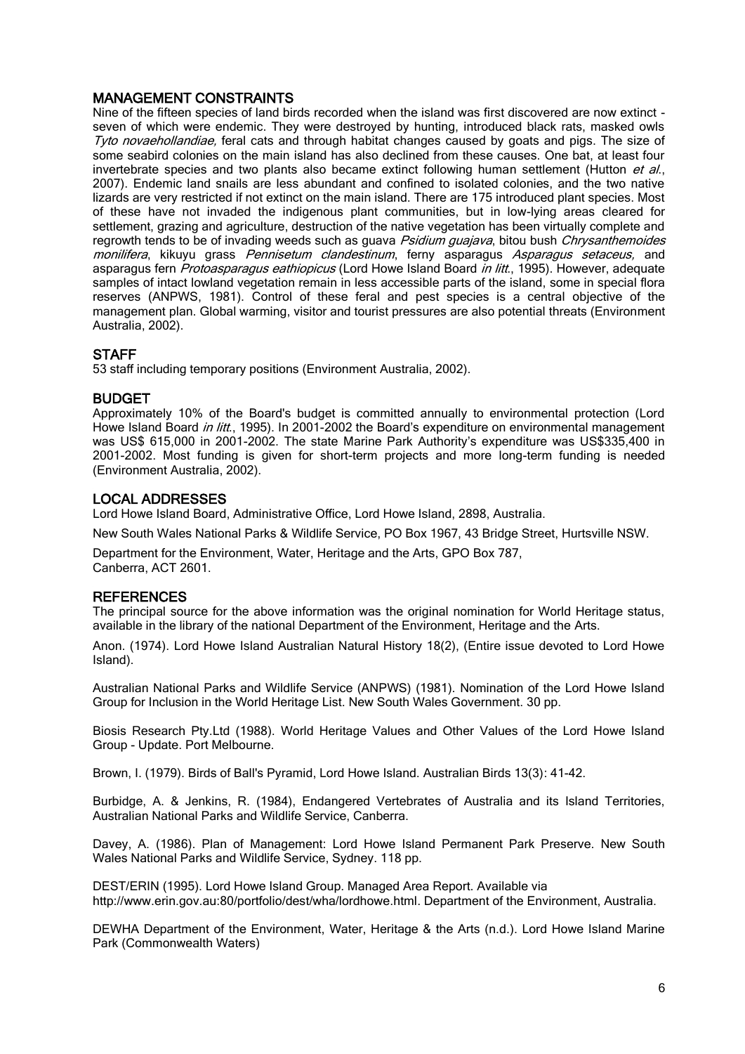## MANAGEMENT CONSTRAINTS

Nine of the fifteen species of land birds recorded when the island was first discovered are now extinct seven of which were endemic. They were destroyed by hunting, introduced black rats, masked owls Tyto novaehollandiae, feral cats and through habitat changes caused by goats and pigs. The size of some seabird colonies on the main island has also declined from these causes. One bat, at least four invertebrate species and two plants also became extinct following human settlement (Hutton et al., 2007). Endemic land snails are less abundant and confined to isolated colonies, and the two native lizards are very restricted if not extinct on the main island. There are 175 introduced plant species. Most of these have not invaded the indigenous plant communities, but in low-lying areas cleared for settlement, grazing and agriculture, destruction of the native vegetation has been virtually complete and regrowth tends to be of invading weeds such as guava Psidium guajava, bitou bush Chrysanthemoides monilifera, kikuyu grass Pennisetum clandestinum, ferny asparagus Asparagus setaceus, and asparagus fern *Protoasparagus eathiopicus* (Lord Howe Island Board *in litt.*, 1995). However, adequate samples of intact lowland vegetation remain in less accessible parts of the island, some in special flora reserves (ANPWS, 1981). Control of these feral and pest species is a central objective of the management plan. Global warming, visitor and tourist pressures are also potential threats (Environment Australia, 2002).

## **STAFF**

53 staff including temporary positions (Environment Australia, 2002).

## BUDGET

Approximately 10% of the Board's budget is committed annually to environmental protection (Lord Howe Island Board in litt., 1995). In 2001-2002 the Board's expenditure on environmental management was US\$ 615,000 in 2001-2002. The state Marine Park Authority's expenditure was US\$335,400 in 2001-2002. Most funding is given for short-term projects and more long-term funding is needed (Environment Australia, 2002).

## LOCAL ADDRESSES

Lord Howe Island Board, Administrative Office, Lord Howe Island, 2898, Australia.

New South Wales National Parks & Wildlife Service, PO Box 1967, 43 Bridge Street, Hurtsville NSW.

Department for the Environment, Water, Heritage and the Arts, GPO Box 787, Canberra, ACT 2601.

## **REFERENCES**

The principal source for the above information was the original nomination for World Heritage status, available in the library of the national Department of the Environment, Heritage and the Arts.

Anon. (1974). Lord Howe Island Australian Natural History 18(2), (Entire issue devoted to Lord Howe Island).

Australian National Parks and Wildlife Service (ANPWS) (1981). Nomination of the Lord Howe Island Group for Inclusion in the World Heritage List. New South Wales Government. 30 pp.

Biosis Research Pty.Ltd (1988). World Heritage Values and Other Values of the Lord Howe Island Group - Update. Port Melbourne.

Brown, I. (1979). Birds of Ball's Pyramid, Lord Howe Island. Australian Birds 13(3): 41-42.

Burbidge, A. & Jenkins, R. (1984), Endangered Vertebrates of Australia and its Island Territories, Australian National Parks and Wildlife Service, Canberra.

Davey, A. (1986). Plan of Management: Lord Howe Island Permanent Park Preserve. New South Wales National Parks and Wildlife Service, Sydney. 118 pp.

DEST/ERIN (1995). Lord Howe Island Group. Managed Area Report. Available via [http://www.erin.gov.au:80/portfolio/dest/wha/lordhowe.html.](http://www.erin.gov.au/portfolio/dest/wha/lordhowe.html) Department of the Environment, Australia.

DEWHA Department of the Environment, Water, Heritage & the Arts (n.d.). Lord Howe Island Marine Park (Commonwealth Waters)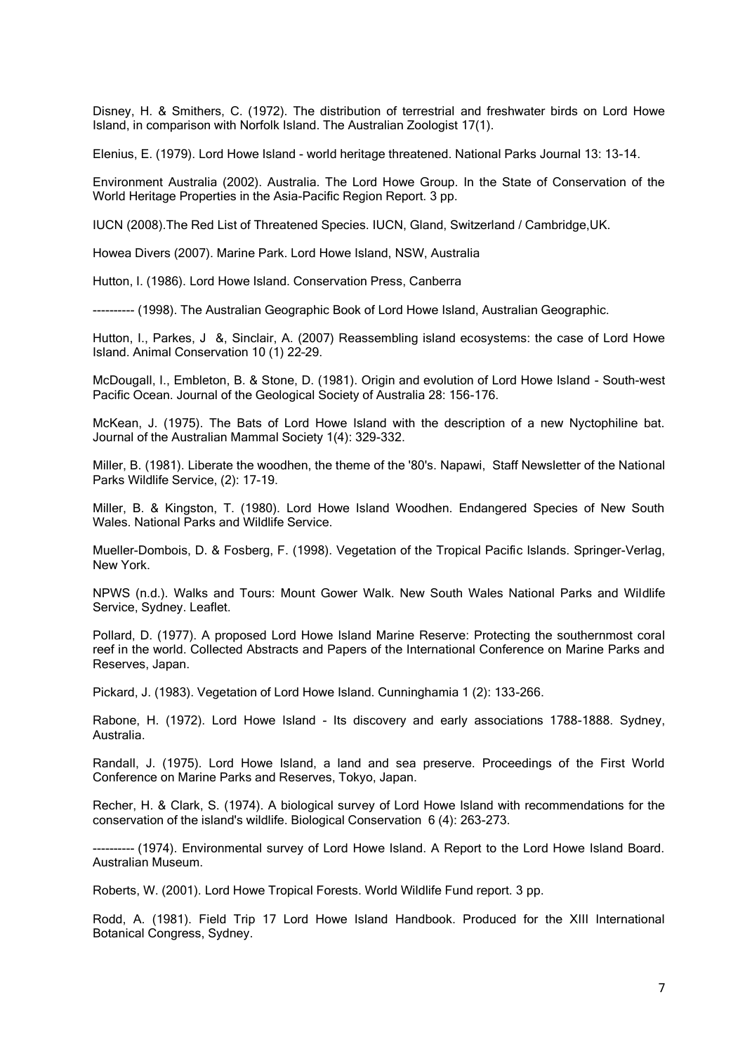Disney, H. & Smithers, C. (1972). The distribution of terrestrial and freshwater birds on Lord Howe Island, in comparison with Norfolk Island. The Australian Zoologist 17(1).

Elenius, E. (1979). Lord Howe Island - world heritage threatened. National Parks Journal 13: 13-14.

Environment Australia (2002). Australia. The Lord Howe Group. In the State of Conservation of the World Heritage Properties in the Asia-Pacific Region Report. 3 pp.

IUCN (2008).The Red List of Threatened Species. IUCN, Gland, Switzerland / Cambridge,UK.

Howea Divers (2007). Marine Park. Lord Howe Island, NSW, Australia

Hutton, I. (1986). Lord Howe Island. Conservation Press, Canberra

---------- (1998). The Australian Geographic Book of Lord Howe Island, Australian Geographic.

Hutton, I., Parkes, J &, Sinclair, A. (2007) Reassembling island ecosystems: the case of Lord Howe Island. Animal Conservation 10 (1) 22–29.

McDougall, I., Embleton, B. & Stone, D. (1981). Origin and evolution of Lord Howe Island - South-west Pacific Ocean. Journal of the Geological Society of Australia 28: 156-176.

McKean, J. (1975). The Bats of Lord Howe Island with the description of a new Nyctophiline bat. Journal of the Australian Mammal Society 1(4): 329-332.

Miller, B. (1981). Liberate the woodhen, the theme of the '80's. Napawi, Staff Newsletter of the National Parks Wildlife Service, (2): 17-19.

Miller, B. & Kingston, T. (1980). Lord Howe Island Woodhen. Endangered Species of New South Wales. National Parks and Wildlife Service.

Mueller-Dombois, D. & Fosberg, F. (1998). Vegetation of the Tropical Pacific Islands. Springer-Verlag, New York.

NPWS (n.d.). Walks and Tours: Mount Gower Walk. New South Wales National Parks and Wildlife Service, Sydney. Leaflet.

Pollard, D. (1977). A proposed Lord Howe Island Marine Reserve: Protecting the southernmost coral reef in the world. Collected Abstracts and Papers of the International Conference on Marine Parks and Reserves, Japan.

Pickard, J. (1983). Vegetation of Lord Howe Island. Cunninghamia 1 (2): 133-266.

Rabone, H. (1972). Lord Howe Island - Its discovery and early associations 1788-1888. Sydney, Australia.

Randall, J. (1975). Lord Howe Island, a land and sea preserve. Proceedings of the First World Conference on Marine Parks and Reserves, Tokyo, Japan.

Recher, H. & Clark, S. (1974). A biological survey of Lord Howe Island with recommendations for the conservation of the island's wildlife. Biological Conservation 6 (4): 263-273.

---------- (1974). Environmental survey of Lord Howe Island. A Report to the Lord Howe Island Board. Australian Museum.

Roberts, W. (2001). Lord Howe Tropical Forests. World Wildlife Fund report. 3 pp.

Rodd, A. (1981). Field Trip 17 Lord Howe Island Handbook. Produced for the XIII International Botanical Congress, Sydney.